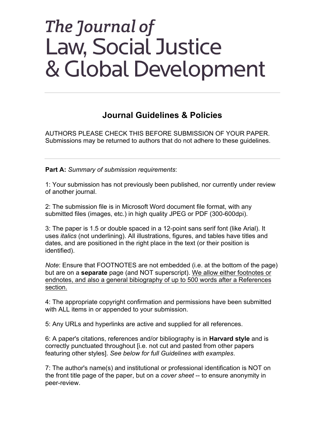# **Journal Guidelines & Policies**

AUTHORS PLEASE CHECK THIS BEFORE SUBMISSION OF YOUR PAPER. Submissions may be returned to authors that do not adhere to these guidelines.

**Part A:** *Summary of submission requirements*:

1: Your submission has not previously been published, nor currently under review of another journal.

2: The submission file is in Microsoft Word document file format, with any submitted files (images, etc.) in high quality JPEG or PDF (300-600dpi).

3: The paper is 1.5 or double spaced in a 12-point sans serif font (like Arial). It uses *italics* (not underlining). All illustrations, figures, and tables have titles and dates, and are positioned in the right place in the text (or their position is identified).

*Note*: Ensure that FOOTNOTES are not embedded (i.e. at the bottom of the page) but are on a **separate** page (and NOT superscript). We allow either footnotes or endnotes, and also a general bibiography of up to 500 words after a References section.

4: The appropriate copyright confirmation and permissions have been submitted with ALL items in or appended to your submission.

5: Any URLs and hyperlinks are active and supplied for all references.

6: A paper's citations, references and/or bibliography is in **Harvard style** and is correctly punctuated throughout [i.e. not cut and pasted from other papers featuring other styles]. *See below for full Guidelines with examples*.

7: The author's name(s) and institutional or professional identification is NOT on the front title page of the paper, but on a *cover sheet* -- to ensure anonymity in peer-review.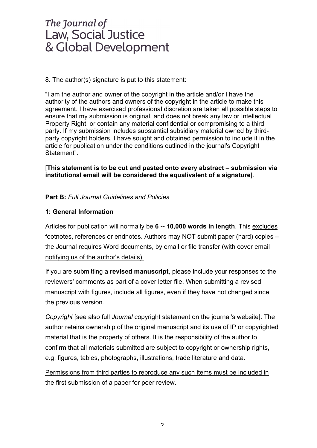8. The author(s) signature is put to this statement:

"I am the author and owner of the copyright in the article and/or I have the authority of the authors and owners of the copyright in the article to make this agreement. I have exercised professional discretion are taken all possible steps to ensure that my submission is original, and does not break any law or Intellectual Property Right, or contain any material confidential or compromising to a third party. If my submission includes substantial subsidiary material owned by thirdparty copyright holders, I have sought and obtained permission to include it in the article for publication under the conditions outlined in the journal's Copyright Statement".

[**This statement is to be cut and pasted onto every abstract – submission via institutional email will be considered the equalivalent of a signature**].

### **Part B:** *Full Journal Guidelines and Policies*

### **1: General Information**

Articles for publication will normally be **6 -- 10,000 words in length**. This excludes footnotes, references or endnotes. Authors may NOT submit paper (hard) copies – the Journal requires Word documents, by email or file transfer (with cover email notifying us of the author's details).

If you are submitting a **revised manuscript**, please include your responses to the reviewers' comments as part of a cover letter file. When submitting a revised manuscript with figures, include all figures, even if they have not changed since the previous version.

*Copyright* [see also full *Journal* copyright statement on the journal's website]: The author retains ownership of the original manuscript and its use of IP or copyrighted material that is the property of others. It is the responsibility of the author to confirm that all materials submitted are subject to copyright or ownership rights, e.g. figures, tables, photographs, illustrations, trade literature and data.

Permissions from third parties to reproduce any such items must be included in the first submission of a paper for peer review.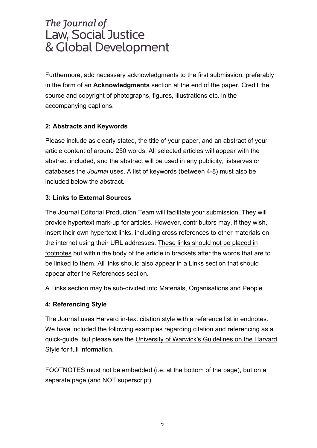Furthermore, add necessary acknowledgments to the first submission, preferably in the form of an **Acknowledgments** section at the end of the paper. Credit the source and copyright of photographs, figures, illustrations etc. in the accompanying captions.

### **2: Abstracts and Keywords**

Please include as clearly stated, the title of your paper, and an abstract of your article content of around 250 words. All selected articles will appear with the abstract included, and the abstract will be used in any publicity, listserves or databases the *Journal* uses. A list of keywords (between 4-8) must also be included below the abstract.

### **3: Links to External Sources**

The Journal Editorial Production Team will facilitate your submission. They will provide hypertext mark-up for articles. However, contributors may, if they wish, insert their own hypertext links, including cross references to other materials on the internet using their URL addresses. These links should not be placed in footnotes but within the body of the article in brackets after the words that are to be linked to them. All links should also appear in a Links section that should appear after the References section.

A Links section may be sub-divided into Materials, Organisations and People.

### **4: Referencing Style**

The Journal uses Harvard in-text citation style with a reference list in endnotes. We have included the following examples regarding citation and referencing as a quick-guide, but please see the University of Warwick's Guidelines on the Harvard Style for full information.

FOOTNOTES must not be embedded (i.e. at the bottom of the page), but on a separate page (and NOT superscript).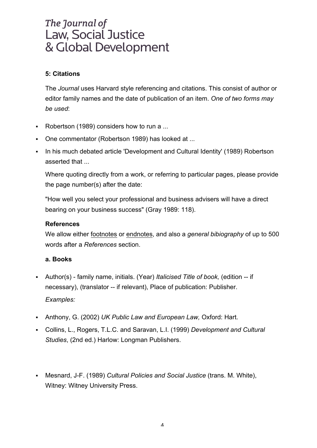# **5: Citations**

The *Journal* uses Harvard style referencing and citations. This consist of author or editor family names and the date of publication of an item. *One of two forms may be used*:

- Robertson (1989) considers how to run a ...
- § One commentator (Robertson 1989) has looked at ...
- In his much debated article 'Development and Cultural Identity' (1989) Robertson asserted that ...

Where quoting directly from a work, or referring to particular pages, please provide the page number(s) after the date:

"How well you select your professional and business advisers will have a direct bearing on your business success" (Gray 1989: 118).

### **References**

We allow either footnotes or endnotes, and also a *general bibiography* of up to 500 words after a *References* section.

### **a. Books**

- § Author(s) family name, initials. (Year) *Italicised Title of book,* (edition -- if necessary), (translator -- if relevant), Place of publication: Publisher. *Examples:*
- § Anthony, G. (2002) *UK Public Law and European Law,* Oxford: Hart.
- § Collins, L., Rogers, T.L.C. and Saravan, L.I. (1999) *Development and Cultural Studies*, (2nd ed.) Harlow: Longman Publishers.
- § Mesnard, J-F. (1989) *Cultural Policies and Social Justice* (trans. M. White), Witney: Witney University Press.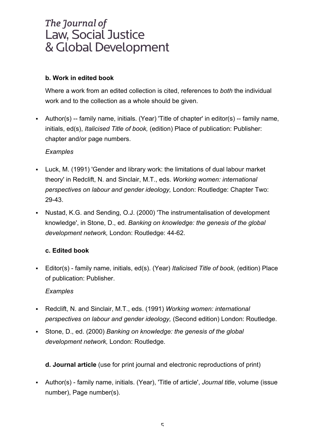# **b. Work in edited book**

Where a work from an edited collection is cited, references to *both* the individual work and to the collection as a whole should be given.

• Author(s) -- family name, initials. (Year) 'Title of chapter' in editor(s) -- family name, initials, ed(s), *Italicised Title of book,* (edition) Place of publication: Publisher: chapter and/or page numbers.

# *Examples*

- § Luck, M. (1991) 'Gender and library work: the limitations of dual labour market theory' in Redclift, N. and Sinclair, M.T., eds. *Working women: international perspectives on labour and gender ideology,* London: Routledge: Chapter Two: 29-43.
- Nustad, K.G. and Sending, O.J. (2000) The instrumentalisation of development knowledge', in Stone, D., ed. *Banking on knowledge: the genesis of the global development network,* London: Routledge: 44-62.

# **c. Edited book**

§ Editor(s) - family name, initials, ed(s). (Year) *Italicised Title of book,* (edition) Place of publication: Publisher.

# *Examples*

- § Redclift, N. and Sinclair, M.T., eds. (1991) *Working women: international perspectives on labour and gender ideology,* (Second edition) London: Routledge.
- § Stone, D., ed. (2000) *Banking on knowledge: the genesis of the global development network,* London: Routledge.

**d. Journal article** (use for print journal and electronic reproductions of print)

§ Author(s) - family name, initials. (Year), 'Title of article', *Journal title*, volume (issue number), Page number(s).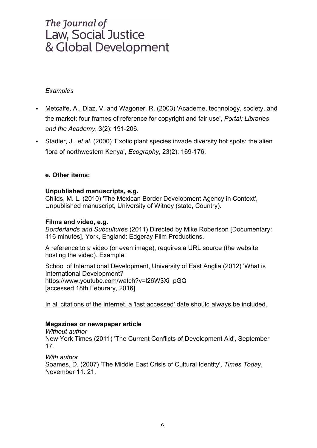#### *Examples*

- Metcalfe, A., Diaz, V. and Wagoner, R. (2003) 'Academe, technology, society, and the market: four frames of reference for copyright and fair use', *Portal: Libraries and the Academy*, 3(2): 191-206.
- § Stadler, J., *et al.* (2000) 'Exotic plant species invade diversity hot spots: the alien flora of northwestern Kenya', *Ecography*, 23(2): 169-176.

#### **e. Other items:**

#### **Unpublished manuscripts, e.g.**

Childs, M. L. (2010) 'The Mexican Border Development Agency in Context', Unpublished manuscript, University of Witney (state, Country).

#### **Films and video, e.g.**

*Borderlands and Subcultures* (2011) Directed by Mike Robertson [Documentary: 116 minutes], York, England: Edgeray Film Productions.

A reference to a video (or even image), requires a URL source (the website hosting the video). Example:

School of International Development, University of East Anglia (2012) 'What is International Development? https://www.youtube.com/watch?v=l26W3Xi\_pGQ [accessed 18th Feburary, 2016].

In all citations of the internet, a 'last accessed' date should always be included.

#### **Magazines or newspaper article**

*Without author* New York Times (2011) 'The Current Conflicts of Development Aid', September 17.

*With author* Soames, D. (2007) 'The Middle East Crisis of Cultural Identity', *Times Today*, November 11: 21.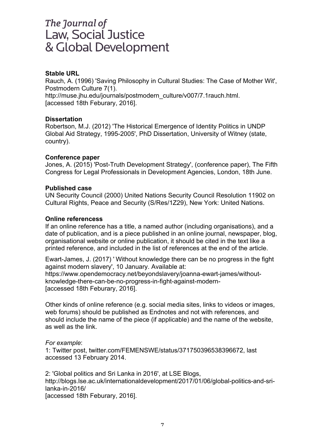#### **Stable URL**

Rauch, A. (1996) 'Saving Philosophy in Cultural Studies: The Case of Mother Wit', Postmodern Culture 7(1). http://muse.jhu.edu/journals/postmodern\_culture/v007/7.1rauch.html. [accessed 18th Feburary, 2016].

#### **Dissertation**

Robertson, M.J. (2012) 'The Historical Emergence of Identity Politics in UNDP Global Aid Strategy, 1995-2005', PhD Dissertation, University of Witney (state, country).

#### **Conference paper**

Jones, A. (2015) 'Post-Truth Development Strategy', (conference paper), The Fifth Congress for Legal Professionals in Development Agencies, London, 18th June.

#### **Published case**

UN Security Council (2000) United Nations Security Council Resolution 11902 on Cultural Rights, Peace and Security (S/Res/1Z29), New York: United Nations.

#### **Online referencess**

If an online reference has a title, a named author (including organisations), and a date of publication, and is a piece published in an online journal, newspaper, blog, organisational website or online publication, it should be cited in the text like a printed reference, and included in the list of references at the end of the article.

Ewart-James, J. (2017) ' Without knowledge there can be no progress in the fight against modern slavery', 10 January. Available at: https://www.opendemocracy.net/beyondslavery/joanna-ewart-james/withoutknowledge-there-can-be-no-progress-in-fight-against-modern- [accessed 18th Feburary, 2016].

Other kinds of online reference (e.g. social media sites, links to videos or images, web forums) should be published as Endnotes and not with references, and should include the name of the piece (if applicable) and the name of the website, as well as the link.

#### *For example*:

1: Twitter post, twitter.com/FEMENSWE/status/371750396538396672, last accessed 13 February 2014.

2: 'Global politics and Sri Lanka in 2016', at LSE Blogs, http://blogs.lse.ac.uk/internationaldevelopment/2017/01/06/global-politics-and-srilanka-in-2016/

[accessed 18th Feburary, 2016].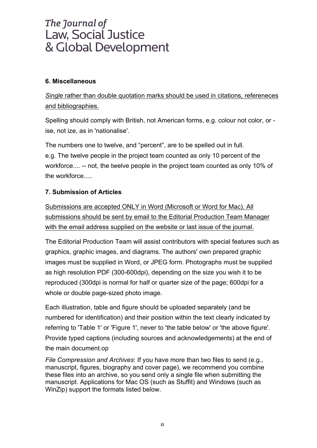### **6. Miscellaneous**

*Single* rather than double quotation marks should be used in citations, refereneces and bibliographies.

Spelling should comply with British, not American forms, e.g. colour not color, or ise, not ize, as in 'nationalise'.

The numbers one to twelve, and "percent", are to be spelled out in full. e.g. The twelve people in the project team counted as only 10 percent of the workforce.... -- not, the twelve people in the project team counted as only 10% of the workforce.....

### **7. Submission of Articles**

Submissions are accepted ONLY in Word (Microsoft or Word for Mac). All submissions should be sent by email to the Editorial Production Team Manager with the email address supplied on the website or last issue of the journal.

The Editorial Production Team will assist contributors with special features such as graphics, graphic images, and diagrams. The authors' own prepared graphic images must be supplied in Word, or JPEG form. Photographs must be supplied as high resolution PDF (300-600dpi), depending on the size you wish it to be reproduced (300dpi is normal for half or quarter size of the page; 600dpi for a whole or double page-sized photo image.

Each illustration, table and figure should be uploaded separately (and be numbered for identification) and their position within the text clearly indicated by referring to 'Table 1' or 'Figure 1', never to 'the table below' or 'the above figure'. Provide typed captions (including sources and acknowledgements) at the end of the main document.op

*File Compression and Archives*: If you have more than two files to send (e.g., manuscript, figures, biography and cover page), we recommend you combine these files into an archive, so you send only a single file when submitting the manuscript. Applications for Mac OS (such as Stuffit) and Windows (such as WinZip) support the formats listed below.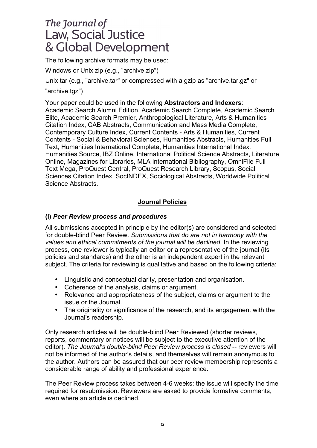The following archive formats may be used:

Windows or Unix zip (e.g., "archive.zip")

Unix tar (e.g., "archive.tar" or compressed with a gzip as "archive.tar.gz" or "archive.tgz")

Your paper could be used in the following **Abstractors and Indexers**: Academic Search Alumni Edition, Academic Search Complete, Academic Search Elite, Academic Search Premier, Anthropological Literature, Arts & Humanities Citation Index, CAB Abstracts, Communication and Mass Media Complete, Contemporary Culture Index, Current Contents - Arts & Humanities, Current Contents - Social & Behavioral Sciences, Humanities Abstracts, Humanities Full Text, Humanities International Complete, Humanities International Index, Humanities Source, IBZ Online, International Political Science Abstracts, Literature Online, Magazines for Libraries, MLA International Bibliography, OmniFile Full Text Mega, ProQuest Central, ProQuest Research Library, Scopus, Social Sciences Citation Index, SocINDEX, Sociological Abstracts, Worldwide Political Science Abstracts.

### **Journal Policies**

### **(i)** *Peer Review process and procedures*

All submissions accepted in principle by the editor(s) are considered and selected for double-blind Peer Review. *Submissions that do are not in harmony with the values and ethical commitments of the journal will be declined.* In the reviewing process, one reviewer is typically an editor or a representative of the journal (its policies and standards) and the other is an independent expert in the relevant subject. The criteria for reviewing is qualitative and based on the following criteria:

- Linguistic and conceptual clarity, presentation and organisation.
- Coherence of the analysis, claims or argument.
- Relevance and appropriateness of the subject, claims or argument to the issue or the Journal.
- The originality or significance of the research, and its engagement with the Journal's readership.

Only research articles will be double-blind Peer Reviewed (shorter reviews, reports, commentary or notices will be subject to the executive attention of the editor). *The Journal's double-blind Peer Review process is closed* -- reviewers will not be informed of the author's details, and themselves will remain anonymous to the author. Authors can be assured that our peer review membership represents a considerable range of ability and professional experience.

The Peer Review process takes between 4-6 weeks: the issue will specify the time required for resubmission. Reviewers are asked to provide formative comments, even where an article is declined.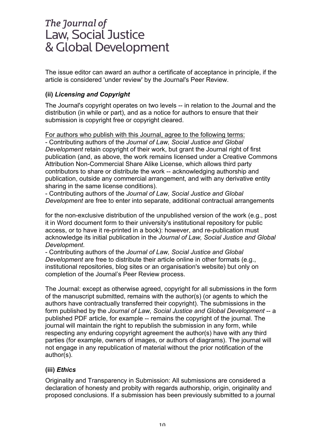The issue editor can award an author a certificate of acceptance in principle, if the article is considered 'under review' by the Journal's Peer Review.

### **(ii)** *Licensing and Copyright*

The Journal's copyright operates on two levels -- in relation to the Journal and the distribution (in while or part), and as a notice for authors to ensure that their submission is copyright free or copyright cleared.

For authors who publish with this Journal, agree to the following terms:

- Contributing authors of the *Journal of Law, Social Justice and Global Development* retain copyright of their work, but grant the Journal right of first publication (and, as above, the work remains licensed under a Creative Commons Attribution Non-Commercial Share Alike License, which allows third party contributors to share or distribute the work -- acknowledging authorship and publication, outside any commercial arrangement, and with any derivative entity sharing in the same license conditions).

- Contributing authors of the *Journal of Law, Social Justice and Global Development* are free to enter into separate, additional contractual arrangements

for the non-exclusive distribution of the unpublished version of the work (e.g., post it in Word document form to their university's institutional repository for public access, or to have it re-printed in a book): however, and re-publication must acknowledge its initial publication in the *Journal of Law, Social Justice and Global Development*.

- Contributing authors of the *Journal of Law, Social Justice and Global Development* are free to distribute their article online in other formats (e.g., institutional repositories, blog sites or an organisation's website) but only on completion of the Journal's Peer Review process.

The Journal: except as otherwise agreed, copyright for all submissions in the form of the manuscript submitted, remains with the author(s) (or agents to which the authors have contractually transferred their copyright). The submissions in the form published by the *Journal of Law, Social Justice and Global Development* -- a published PDF article, for example -- remains the copyright of the journal. The journal will maintain the right to republish the submission in any form, while respecting any enduring copyright agreement the author(s) have with any third parties (for example, owners of images, or authors of diagrams). The journal will not engage in any republication of material without the prior notification of the author(s).

### **(iii)** *Ethics*

Originality and Transparency in Submission: All submissions are considered a declaration of honesty and probity with regards authorship, origin, originality and proposed conclusions. If a submission has been previously submitted to a journal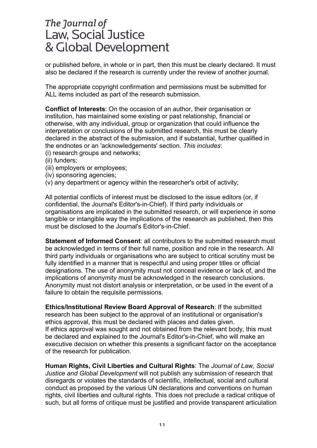or published before, in whole or in part, then this must be clearly declared. It must also be declared if the research is currently under the review of another journal.

The appropriate copyright confirmation and permissions must be submitted for ALL items included as part of the research submission.

**Conflict of Interests**: On the occasion of an author, their organisation or institution, has maintained some existing or past relationship, financial or otherwise, with any individual, group or organization that could influence the interpretation or conclusions of the submitted research, this must be clearly declared in the abstract of the submission, and if substantial, further qualified in the endnotes or an 'acknowledgements' section. *This includes*:

- (i) research groups and networks;
- (ii) funders;
- (iii) employers or employees;
- (iv) sponsoring agencies;
- (v) any department or agency within the researcher's orbit of activity;

All potential conflicts of interest must be disclosed to the issue editors (or, if confidential, the Journal's Editor's-in-Chief). If third party individuals or organisations are implicated in the submitted research, or will experience in some tangible or intangible way the implications of the research as published, then this must be disclosed to the Journal's Editor's-in-Chief.

**Statement of Informed Consent**: all contributors to the submitted research must be acknowledged in terms of their full name, position and role in the research. All third party individuals or organisations who are subject to critical scrutiny must be fully identified in a manner that is respectful and using proper titles or official designations. The use of anonymity must not conceal evidence or lack of, and the implications of anonymity must be acknowledged in the research conclusions. Anonymity must not distort analysis or interpretation, or be used in the event of a failure to obtain the requisite permissions.

**Ethics/Institutional Review Board Approval of Research**: If the submitted research has been subject to the approval of an institutional or organisation's ethics approval, this must be declared with places and dates given. If ethics approval was sought and not obtained from the relevant body, this must be declared and explained to the Journal's Editor's-in-Chief, who will make an executive decision on whether this presents a significant factor on the acceptance of the research for publication.

**Human Rights, Civil Liberties and Cultural Rights**: The *Journal of Law, Social Justice and Global Development* will not publish any submission of research that disregards or violates the standards of scientific, intellectual, social and cultural conduct as proposed by the various UN declarations and conventions on human rights, civil liberties and cultural rights. This does not preclude a radical critique of such, but all forms of critique must be justified and provide transparent articulation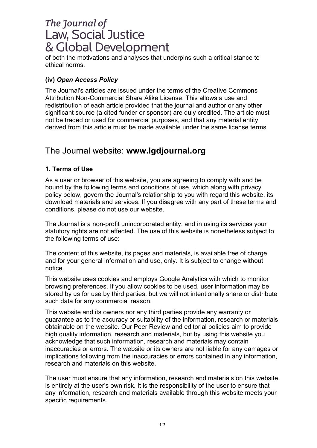of both the motivations and analyses that underpins such a critical stance to ethical norms.

### **(iv)** *Open Access Policy*

The Journal's articles are issued under the terms of the Creative Commons Attribution Non-Commercial Share Alike License. This allows a use and redistribution of each article provided that the journal and author or any other significant source (a cited funder or sponsor) are duly credited. The article must not be traded or used for commercial purposes, and that any material entity derived from this article must be made available under the same license terms.

# The Journal website: **www.lgdjournal.org**

### **1. Terms of Use**

As a user or browser of this website, you are agreeing to comply with and be bound by the following terms and conditions of use, which along with privacy policy below, govern the Journal's relationship to you with regard this website, its download materials and services. If you disagree with any part of these terms and conditions, please do not use our website.

The Journal is a non-profit unincorporated entity, and in using its services your statutory rights are not effected. The use of this website is nonetheless subject to the following terms of use:

The content of this website, its pages and materials, is available free of charge and for your general information and use, only. It is subject to change without notice.

This website uses cookies and employs Google Analytics with which to monitor browsing preferences. If you allow cookies to be used, user information may be stored by us for use by third parties, but we will not intentionally share or distribute such data for any commercial reason.

This website and its owners nor any third parties provide any warranty or guarantee as to the accuracy or suitability of the information, research or materials obtainable on the website. Our Peer Review and editorial policies aim to provide high quality information, research and materials, but by using this website you acknowledge that such information, research and materials may contain inaccuracies or errors. The website or its owners are not liable for any damages or implications following from the inaccuracies or errors contained in any information, research and materials on this website.

The user must ensure that any information, research and materials on this website is entirely at the user's own risk. It is the responsibility of the user to ensure that any information, research and materials available through this website meets your specific requirements.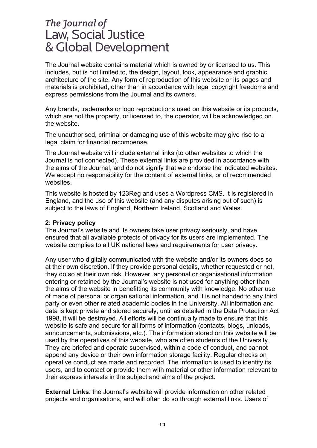The Journal website contains material which is owned by or licensed to us. This includes, but is not limited to, the design, layout, look, appearance and graphic architecture of the site. Any form of reproduction of this website or its pages and materials is prohibited, other than in accordance with legal copyright freedoms and express permissions from the Journal and its owners.

Any brands, trademarks or logo reproductions used on this website or its products, which are not the property, or licensed to, the operator, will be acknowledged on the website.

The unauthorised, criminal or damaging use of this website may give rise to a legal claim for financial recompense.

The Journal website will include external links (to other websites to which the Journal is not connected). These external links are provided in accordance with the aims of the Journal, and do not signify that we endorse the indicated websites. We accept no responsibility for the content of external links, or of recommended websites.

This website is hosted by 123Reg and uses a Wordpress CMS. It is registered in England, and the use of this website (and any disputes arising out of such) is subject to the laws of England, Northern Ireland, Scotland and Wales.

#### **2: Privacy policy**

The Journal's website and its owners take user privacy seriously, and have ensured that all available protects of privacy for its users are implemented. The website complies to all UK national laws and requirements for user privacy.

Any user who digitally communicated with the website and/or its owners does so at their own discretion. If they provide personal details, whether requested or not, they do so at their own risk. However, any personal or organisational information entering or retained by the Journal's website is not used for anything other than the aims of the website in benefitting its community with knowledge. No other use of made of personal or organisational information, and it is not handed to any third party or even other related academic bodies in the University. All information and data is kept private and stored securely, until as detailed in the Data Protection Act 1998, it will be destroyed. All efforts will be continually made to ensure that this website is safe and secure for all forms of information (contacts, blogs, unloads, announcements, submissions, etc.). The information stored on this website will be used by the operatives of this website, who are often students of the University. They are briefed and operate supervised, within a code of conduct, and cannot append any device or their own information storage facility. Regular checks on operative conduct are made and recorded. The information is used to identify its users, and to contact or provide them with material or other information relevant to their express interests in the subject and aims of the project.

**External Links**: the Journal's website will provide information on other related projects and organisations, and will often do so through external links. Users of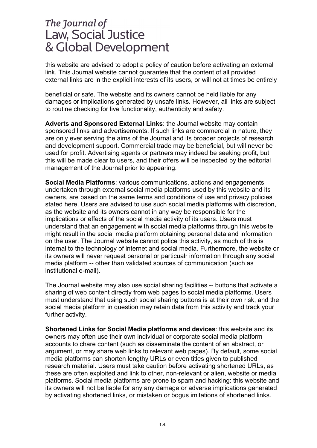this website are advised to adopt a policy of caution before activating an external link. This Journal website cannot guarantee that the content of all provided external links are in the explicit interests of its users, or will not at times be entirely

beneficial or safe. The website and its owners cannot be held liable for any damages or implications generated by unsafe links. However, all links are subject to routine checking for live functionality, authenticity and safety.

**Adverts and Sponsored External Links**: the Journal website may contain sponsored links and advertisements. If such links are commercial in nature, they are only ever serving the aims of the Journal and its broader projects of research and development support. Commercial trade may be beneficial, but will never be used for profit. Advertising agents or partners may indeed be seeking profit, but this will be made clear to users, and their offers will be inspected by the editorial management of the Journal prior to appearing.

**Social Media Platforms**: various communications, actions and engagements undertaken through external social media platforms used by this website and its owners, are based on the same terms and conditions of use and privacy policies stated here. Users are advised to use such social media platforms with discretion, as the website and its owners cannot in any way be responsible for the implications or effects of the social media activity of its users. Users must understand that an engagement with social media platforms through this website might result in the social media platform obtaining personal data and information on the user. The Journal website cannot police this activity, as much of this is internal to the technology of internet and social media. Furthermore, the website or its owners will never request personal or particualr information through any social media platform -- other than validated sources of communication (such as institutional e-mail).

The Journal website may also use social sharing facilities -- buttons that activate a sharing of web content directly from web pages to social media platforms. Users must understand that using such social sharing buttons is at their own risk, and the social media platform in question may retain data from this activity and track your further activity.

**Shortened Links for Social Media platforms and devices**: this website and its owners may often use their own individual or corporate social media platform accounts to chare content (such as disseminate the content of an abstract, or argument, or may share web links to relevant web pages). By default, some social media platforms can shorten lengthy URLs or even titles given to published research material. Users must take caution before activating shortened URLs, as these are often exploited and link to other, non-relevant or alien, website or media platforms. Social media platforms are prone to spam and hacking: this website and its owners will not be liable for any any damage or adverse implications generated by activating shortened links, or mistaken or bogus imitations of shortened links.